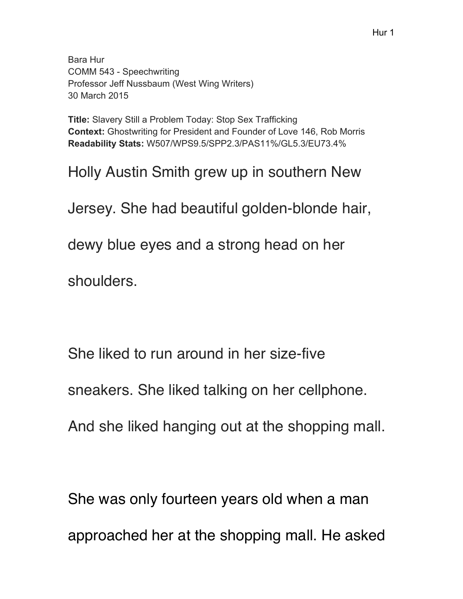Bara Hur COMM 543 - Speechwriting Professor Jeff Nussbaum (West Wing Writers) 30 March 2015

**Title:** Slavery Still a Problem Today: Stop Sex Trafficking **Context:** Ghostwriting for President and Founder of Love 146, Rob Morris **Readability Stats:** W507/WPS9.5/SPP2.3/PAS11%/GL5.3/EU73.4%

Holly Austin Smith grew up in southern New

Jersey. She had beautiful golden-blonde hair,

dewy blue eyes and a strong head on her

shoulders.

She liked to run around in her size-five

sneakers. She liked talking on her cellphone.

And she liked hanging out at the shopping mall.

She was only fourteen years old when a man approached her at the shopping mall. He asked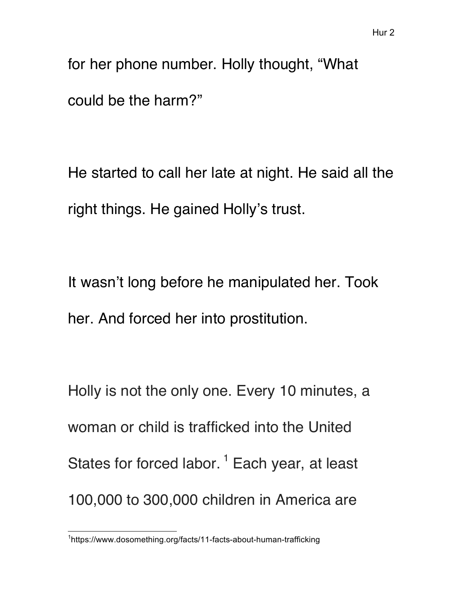for her phone number. Holly thought, "What could be the harm?"

He started to call her late at night. He said all the right things. He gained Holly's trust.

It wasn't long before he manipulated her. Took her. And forced her into prostitution.

Holly is not the only one. Every 10 minutes, a woman or child is trafficked into the United States for forced labor.<sup>1</sup> Each year, at least 100,000 to 300,000 children in America are

 <sup>1</sup> https://www.dosomething.org/facts/11-facts-about-human-trafficking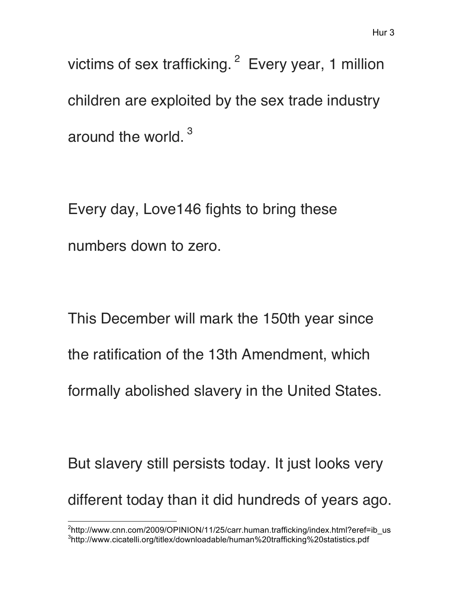victims of sex trafficking. <sup>2</sup> Every year, 1 million children are exploited by the sex trade industry around the world.<sup>3</sup>

Every day, Love146 fights to bring these numbers down to zero.

This December will mark the 150th year since the ratification of the 13th Amendment, which formally abolished slavery in the United States.

But slavery still persists today. It just looks very different today than it did hundreds of years ago.

 <sup>2</sup> http://www.cnn.com/2009/OPINION/11/25/carr.human.trafficking/index.html?eref=ib\_us <sup>3</sup>http://www.cicatelli.org/titlex/downloadable/human%20trafficking%20statistics.pdf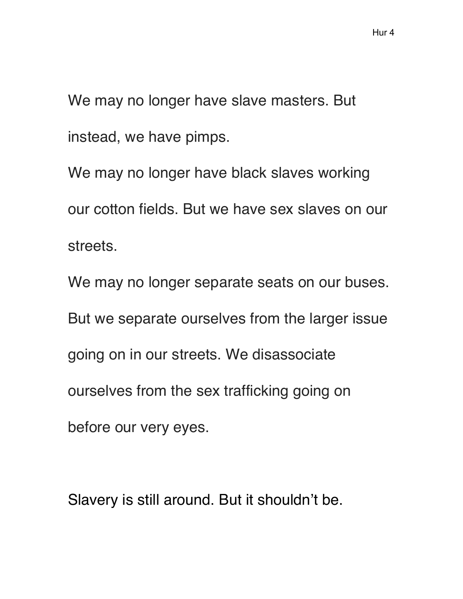We may no longer have slave masters. But instead, we have pimps.

We may no longer have black slaves working our cotton fields. But we have sex slaves on our streets.

We may no longer separate seats on our buses. But we separate ourselves from the larger issue going on in our streets. We disassociate ourselves from the sex trafficking going on before our very eyes.

Slavery is still around. But it shouldn't be.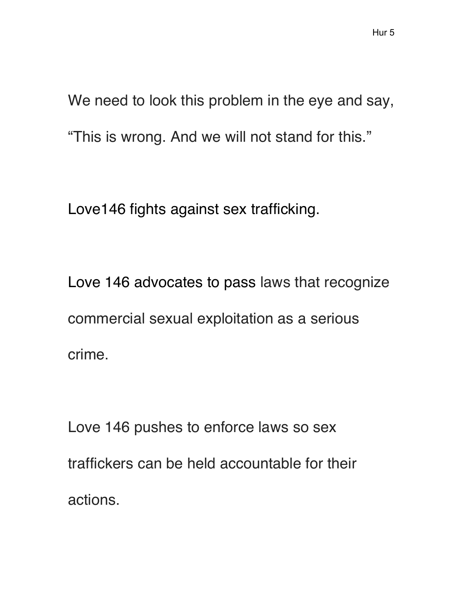We need to look this problem in the eye and say, "This is wrong. And we will not stand for this."

Love146 fights against sex trafficking.

Love 146 advocates to pass laws that recognize commercial sexual exploitation as a serious crime.

Love 146 pushes to enforce laws so sex traffickers can be held accountable for their actions.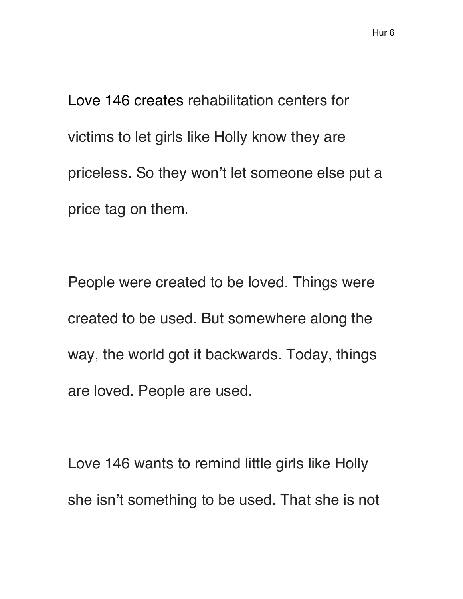Love 146 creates rehabilitation centers for victims to let girls like Holly know they are priceless. So they won't let someone else put a price tag on them.

People were created to be loved. Things were created to be used. But somewhere along the way, the world got it backwards. Today, things are loved. People are used.

Love 146 wants to remind little girls like Holly she isn't something to be used. That she is not